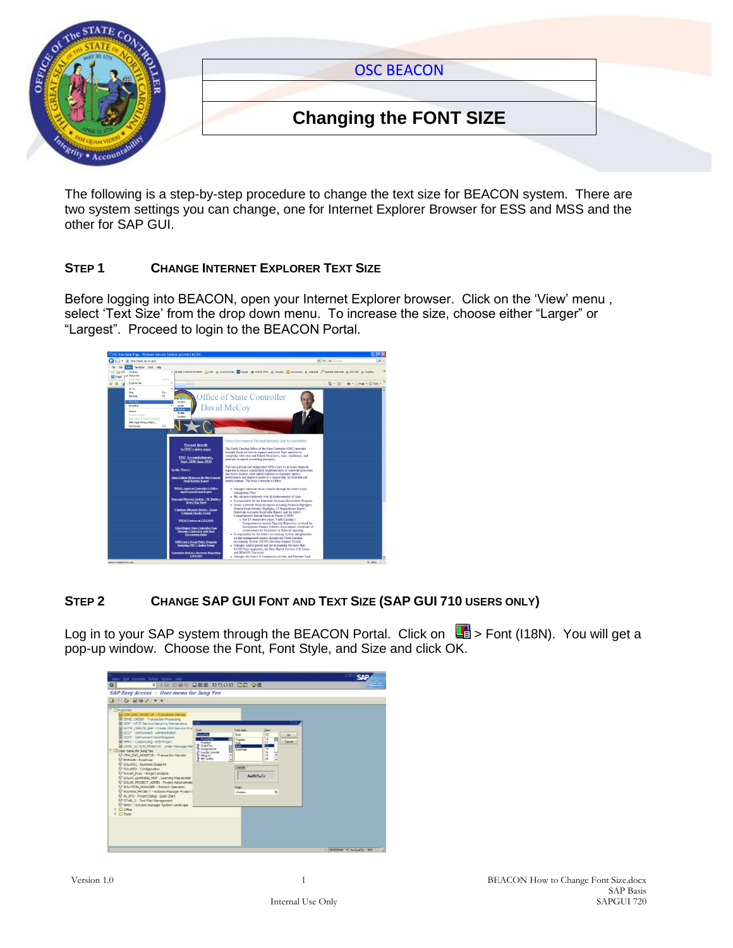

The following is a step-by-step procedure to change the text size for BEACON system. There are two system settings you can change, one for Internet Explorer Browser for ESS and MSS and the other for SAP GUI.

#### **STEP 1 CHANGE INTERNET EXPLORER TEXT SIZE**

Before logging into BEACON, open your Internet Explorer browser. Click on the "View" menu , select 'Text Size' from the drop down menu. To increase the size, choose either "Larger" or "Largest". Proceed to login to the BEACON Portal.



## **STEP 2 CHANGE SAP GUI FONT AND TEXT SIZE (SAP GUI 710 USERS ONLY)**

Log in to your SAP system through the BEACON Portal. Click on  $\Box$  > Font (I18N). You will get a pop-up window. Choose the Font, Font Style, and Size and click OK.

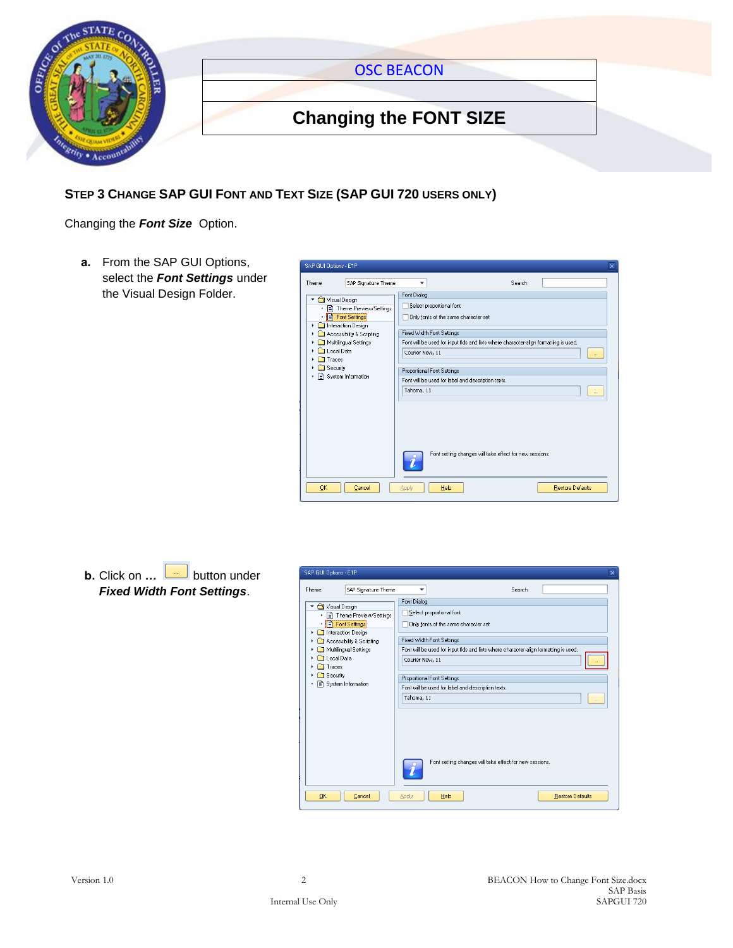

### **STEP 3 CHANGE SAP GUI FONT AND TEXT SIZE (SAP GUI 720 USERS ONLY)**

Changing the *Font Size* Option.

**a.** From the SAP GUI Options, select the *Font Settings* under the Visual Design Folder.



### **b.** Click on ... **button** under *Fixed Width Font Settings*.